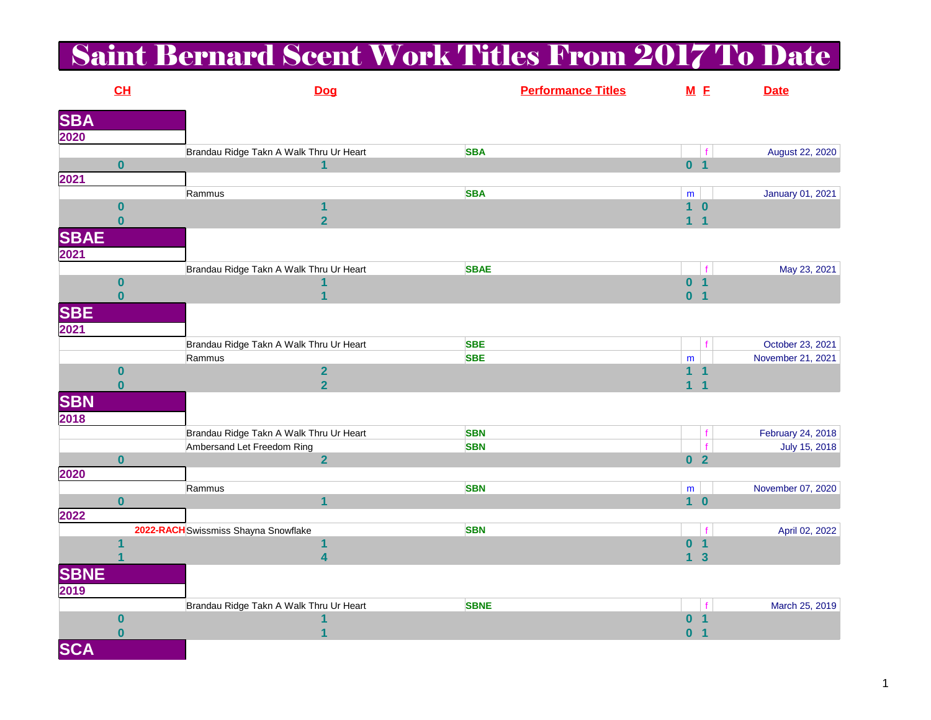## Saint Bernard Scent Work Titles From 2017 To Date

|             | CL               |                                         | <b>Dog</b>              |             | <b>Performance Titles</b> | M E            |                | <b>Date</b>       |
|-------------|------------------|-----------------------------------------|-------------------------|-------------|---------------------------|----------------|----------------|-------------------|
| <b>SBA</b>  |                  |                                         |                         |             |                           |                |                |                   |
| 2020        |                  |                                         |                         |             |                           |                |                |                   |
|             |                  | Brandau Ridge Takn A Walk Thru Ur Heart |                         | <b>SBA</b>  |                           |                | f              | August 22, 2020   |
|             | $\bf{0}$         |                                         | 1                       |             |                           | 0 <sub>1</sub> |                |                   |
| 2021        |                  |                                         |                         |             |                           |                |                |                   |
|             |                  | Rammus                                  |                         | <b>SBA</b>  |                           | ${\sf m}$      |                | January 01, 2021  |
|             | $\bf{0}$         |                                         | 1                       |             |                           | $1\quad 0$     |                |                   |
|             | $\bf{0}$         |                                         | $\overline{2}$          |             |                           | 1 <sub>1</sub> |                |                   |
| <b>SBAE</b> |                  |                                         |                         |             |                           |                |                |                   |
| 2021        |                  |                                         |                         |             |                           |                |                |                   |
|             |                  | Brandau Ridge Takn A Walk Thru Ur Heart |                         | <b>SBAE</b> |                           |                |                | May 23, 2021      |
|             | $\bf{0}$         |                                         |                         |             |                           | 0 <sub>1</sub> |                |                   |
|             | $\bf{0}$         |                                         | $\overline{\mathbf{1}}$ |             |                           | 0 <sub>1</sub> |                |                   |
| <b>SBE</b>  |                  |                                         |                         |             |                           |                |                |                   |
| 2021        |                  |                                         |                         |             |                           |                |                |                   |
|             |                  | Brandau Ridge Takn A Walk Thru Ur Heart |                         | <b>SBE</b>  |                           |                |                | October 23, 2021  |
|             |                  | Rammus                                  |                         | <b>SBE</b>  |                           | m              |                | November 21, 2021 |
|             | $\boldsymbol{0}$ |                                         | $\overline{\mathbf{2}}$ |             |                           | 1 <sub>1</sub> |                |                   |
|             | $\bf{0}$         |                                         | $\overline{2}$          |             |                           | $\overline{1}$ | $\overline{1}$ |                   |
| <b>SBN</b>  |                  |                                         |                         |             |                           |                |                |                   |
| 2018        |                  |                                         |                         |             |                           |                |                |                   |
|             |                  | Brandau Ridge Takn A Walk Thru Ur Heart |                         | <b>SBN</b>  |                           |                |                | February 24, 2018 |
|             |                  | Ambersand Let Freedom Ring              |                         | <b>SBN</b>  |                           |                | f              | July 15, 2018     |
|             | $\bf{0}$         |                                         | $\overline{2}$          |             |                           | 0 <sub>2</sub> |                |                   |
| 2020        |                  |                                         |                         |             |                           |                |                |                   |
|             |                  | Rammus                                  |                         | <b>SBN</b>  |                           | ${\sf m}$      |                | November 07, 2020 |
|             | $\bf{0}$         |                                         | $\overline{1}$          |             |                           | 1 <sub>0</sub> |                |                   |
| 2022        |                  |                                         |                         |             |                           |                |                |                   |
|             |                  | 2022-RACH Swissmiss Shayna Snowflake    |                         | <b>SBN</b>  |                           |                | f              | April 02, 2022    |
|             |                  |                                         | 1                       |             |                           | 0 <sub>1</sub> |                |                   |
|             |                  |                                         | 4                       |             |                           | 1 <sub>3</sub> |                |                   |
| <b>SBNE</b> |                  |                                         |                         |             |                           |                |                |                   |
| 2019        |                  |                                         |                         |             |                           |                |                |                   |
|             |                  | Brandau Ridge Takn A Walk Thru Ur Heart |                         | <b>SBNE</b> |                           |                | f              | March 25, 2019    |
|             | $\boldsymbol{0}$ |                                         | 1                       |             |                           | 0 <sub>1</sub> |                |                   |
|             | $\bf{0}$         |                                         | 1                       |             |                           | 0 <sub>1</sub> |                |                   |
| <b>SCA</b>  |                  |                                         |                         |             |                           |                |                |                   |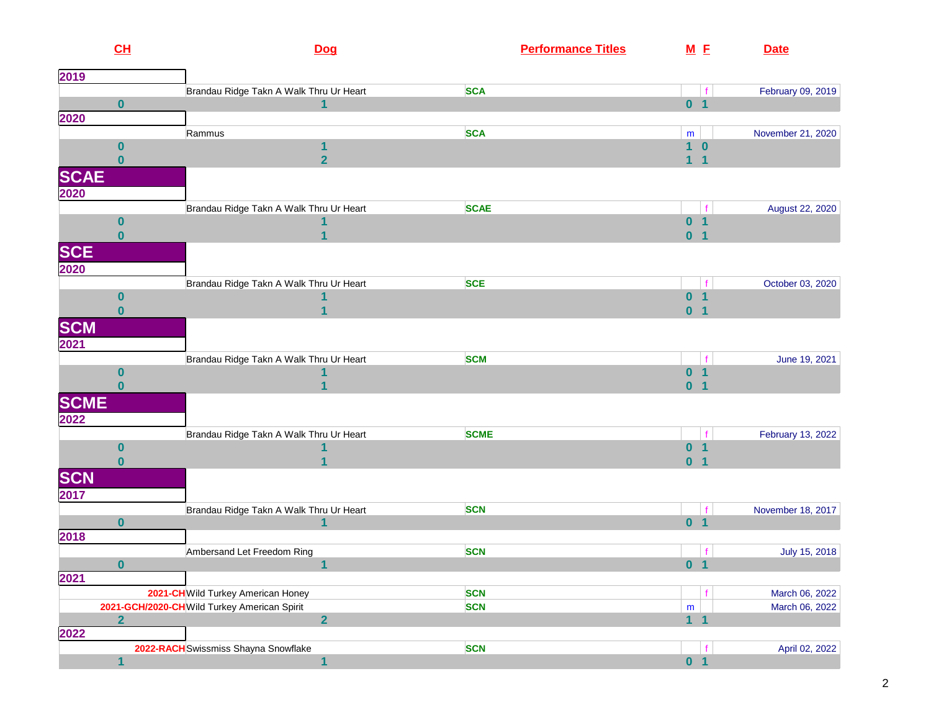| CL                           |                                              | Dog                                          | <b>Performance Titles</b> |              | M E                                    | <b>Date</b>       |
|------------------------------|----------------------------------------------|----------------------------------------------|---------------------------|--------------|----------------------------------------|-------------------|
| 2019                         |                                              |                                              |                           |              |                                        |                   |
|                              |                                              | Brandau Ridge Takn A Walk Thru Ur Heart      | <b>SCA</b>                |              | f                                      | February 09, 2019 |
| $\bf{0}$                     |                                              | $\overline{\mathbf{1}}$                      |                           |              | 0 <sub>1</sub>                         |                   |
| 2020                         |                                              |                                              |                           |              |                                        |                   |
|                              | Rammus                                       |                                              | <b>SCA</b>                | m            |                                        | November 21, 2020 |
| 0                            |                                              | 1                                            |                           | $\mathbf{1}$ | $\bf{0}$                               |                   |
| $\bf{0}$                     |                                              | $\overline{2}$                               |                           | $\mathbf{1}$ | $\mathbf{1}$                           |                   |
| <b>SCAE</b>                  |                                              |                                              |                           |              |                                        |                   |
| 2020                         |                                              |                                              |                           |              |                                        |                   |
|                              |                                              | Brandau Ridge Takn A Walk Thru Ur Heart      | <b>SCAE</b>               |              | f                                      | August 22, 2020   |
| 0                            |                                              |                                              |                           | $\mathbf{0}$ | $\overline{\mathbf{1}}$                |                   |
| $\bf{0}$                     |                                              |                                              |                           |              | 0 <sub>1</sub>                         |                   |
| <b>SCE</b>                   |                                              |                                              |                           |              |                                        |                   |
|                              |                                              |                                              |                           |              |                                        |                   |
| 2020                         |                                              |                                              |                           |              |                                        |                   |
|                              |                                              | Brandau Ridge Takn A Walk Thru Ur Heart      | <b>SCE</b>                | $\mathbf{0}$ | $\mathbf f$<br>$\overline{\mathbf{1}}$ | October 03, 2020  |
| $\boldsymbol{0}$<br>$\bf{0}$ |                                              |                                              |                           |              | $\overline{1}$                         |                   |
|                              |                                              |                                              |                           | $\mathbf{0}$ |                                        |                   |
| <b>SCM</b>                   |                                              |                                              |                           |              |                                        |                   |
| 2021                         |                                              |                                              |                           |              |                                        |                   |
|                              |                                              | Brandau Ridge Takn A Walk Thru Ur Heart      | <b>SCM</b>                |              | f                                      | June 19, 2021     |
| $\bf{0}$                     |                                              |                                              |                           | $\bf{0}$     | $\vert$                                |                   |
| $\bf{0}$                     |                                              |                                              |                           | $\mathbf{0}$ | $\overline{1}$                         |                   |
| <b>SCME</b>                  |                                              |                                              |                           |              |                                        |                   |
| 2022                         |                                              |                                              |                           |              |                                        |                   |
|                              |                                              | Brandau Ridge Takn A Walk Thru Ur Heart      | <b>SCME</b>               |              |                                        | February 13, 2022 |
| $\boldsymbol{0}$             |                                              |                                              |                           | $\mathbf{0}$ | $\mathbf{1}$                           |                   |
| $\bf{0}$                     |                                              |                                              |                           | $\mathbf{0}$ | $\overline{\mathbf{1}}$                |                   |
| <b>SCN</b>                   |                                              |                                              |                           |              |                                        |                   |
|                              |                                              |                                              |                           |              |                                        |                   |
| 2017                         |                                              |                                              | <b>SCN</b>                |              |                                        |                   |
| $\bf{0}$                     |                                              | Brandau Ridge Takn A Walk Thru Ur Heart<br>1 |                           |              | f<br>0 <sub>1</sub>                    | November 18, 2017 |
| 2018                         |                                              |                                              |                           |              |                                        |                   |
|                              |                                              |                                              | <b>SCN</b>                |              |                                        |                   |
| 0                            | Ambersand Let Freedom Ring                   | $\mathbf{1}$                                 |                           |              | 0 <sub>1</sub>                         | July 15, 2018     |
| 2021                         |                                              |                                              |                           |              |                                        |                   |
|                              | 2021-CH Wild Turkey American Honey           |                                              | <b>SCN</b>                |              |                                        | March 06, 2022    |
|                              | 2021-GCH/2020-CH Wild Turkey American Spirit |                                              | <b>SCN</b>                | ${\sf m}$    |                                        | March 06, 2022    |
| $\overline{2}$               |                                              | $\overline{2}$                               |                           |              | 1 <sub>1</sub>                         |                   |
| 2022                         |                                              |                                              |                           |              |                                        |                   |
|                              | 2022-RACH Swissmiss Shayna Snowflake         |                                              | <b>SCN</b>                |              |                                        | April 02, 2022    |
|                              |                                              | $\blacktriangleleft$                         |                           |              | 0 <sub>1</sub>                         |                   |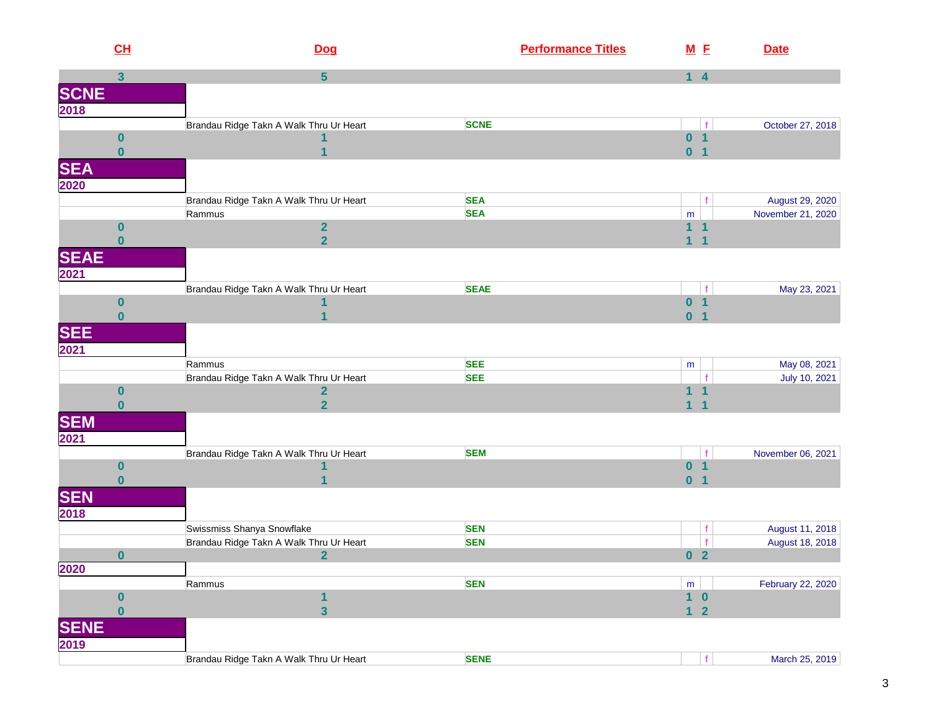|                     | CL                   | Dog                                     | <b>Performance Titles</b> | M E                     |                                        | <b>Date</b>       |
|---------------------|----------------------|-----------------------------------------|---------------------------|-------------------------|----------------------------------------|-------------------|
|                     | $\mathbf{3}$         | $5\phantom{.0}$                         |                           | $1 \quad 4$             |                                        |                   |
| <b>SCNE</b><br>2018 |                      |                                         |                           |                         |                                        |                   |
|                     |                      |                                         |                           |                         |                                        |                   |
|                     |                      | Brandau Ridge Takn A Walk Thru Ur Heart | <b>SCNE</b>               |                         |                                        | October 27, 2018  |
|                     | $\bf{0}$             |                                         |                           | 0 <sub>1</sub>          |                                        |                   |
|                     | $\bf{0}$             |                                         |                           | 0 <sub>1</sub>          |                                        |                   |
| <b>SEA</b>          |                      |                                         |                           |                         |                                        |                   |
| 2020                |                      |                                         |                           |                         |                                        |                   |
|                     |                      | Brandau Ridge Takn A Walk Thru Ur Heart | <b>SEA</b>                |                         |                                        | August 29, 2020   |
|                     |                      | Rammus                                  | <b>SEA</b>                | ${\sf m}$               |                                        | November 21, 2020 |
|                     | $\bf{0}$<br>$\bf{0}$ | $\overline{2}$<br>$\overline{2}$        |                           | 1<br>1                  | $\mathbf 1$<br>$\overline{\mathbf{1}}$ |                   |
|                     |                      |                                         |                           |                         |                                        |                   |
| <b>SEAE</b>         |                      |                                         |                           |                         |                                        |                   |
| 2021                |                      |                                         |                           |                         |                                        |                   |
|                     | $\bf{0}$             | Brandau Ridge Takn A Walk Thru Ur Heart | <b>SEAE</b>               | $\mathbf{0}$            | f<br>$\overline{1}$                    | May 23, 2021      |
|                     | $\bf{0}$             |                                         |                           | 0 <sub>1</sub>          |                                        |                   |
|                     |                      |                                         |                           |                         |                                        |                   |
| <b>SEE</b><br>2021  |                      |                                         |                           |                         |                                        |                   |
|                     |                      | Rammus                                  | <b>SEE</b>                | m                       |                                        | May 08, 2021      |
|                     |                      | Brandau Ridge Takn A Walk Thru Ur Heart | <b>SEE</b>                |                         |                                        | July 10, 2021     |
|                     | $\bf{0}$             | $\overline{\mathbf{2}}$                 |                           | $\mathbf{1}$            | $\overline{1}$                         |                   |
|                     | $\bf{0}$             | $\overline{\mathbf{2}}$                 |                           | $\overline{\mathbf{1}}$ | $\overline{1}$                         |                   |
| <b>SEM</b>          |                      |                                         |                           |                         |                                        |                   |
| 2021                |                      |                                         |                           |                         |                                        |                   |
|                     |                      | Brandau Ridge Takn A Walk Thru Ur Heart | <b>SEM</b>                |                         |                                        | November 06, 2021 |
|                     | $\bf{0}$             |                                         |                           | $\mathbf{0}$            | $\overline{\mathbf{1}}$                |                   |
|                     | $\bf{0}$             |                                         |                           | 0 <sub>1</sub>          |                                        |                   |
| <b>SEN</b>          |                      |                                         |                           |                         |                                        |                   |
| 2018                |                      |                                         |                           |                         |                                        |                   |
|                     |                      | Swissmiss Shanya Snowflake              | <b>SEN</b>                |                         |                                        | August 11, 2018   |
|                     |                      | Brandau Ridge Takn A Walk Thru Ur Heart | <b>SEN</b>                |                         |                                        | August 18, 2018   |
|                     | $\bf{0}$             | $\overline{2}$                          |                           | 0 <sub>2</sub>          |                                        |                   |
| 2020                |                      | Rammus                                  | <b>SEN</b>                | ${\sf m}$               |                                        | February 22, 2020 |
|                     | $\bf{0}$             |                                         |                           | $1\quad 0$              |                                        |                   |
|                     | $\bf{0}$             | 3                                       |                           | $\blacklozenge$         | $\overline{\mathbf{2}}$                |                   |
| <b>SENE</b>         |                      |                                         |                           |                         |                                        |                   |
| 2019                |                      |                                         |                           |                         |                                        |                   |
|                     |                      | Brandau Ridge Takn A Walk Thru Ur Heart | <b>SENE</b>               |                         |                                        | March 25, 2019    |
|                     |                      |                                         |                           |                         |                                        |                   |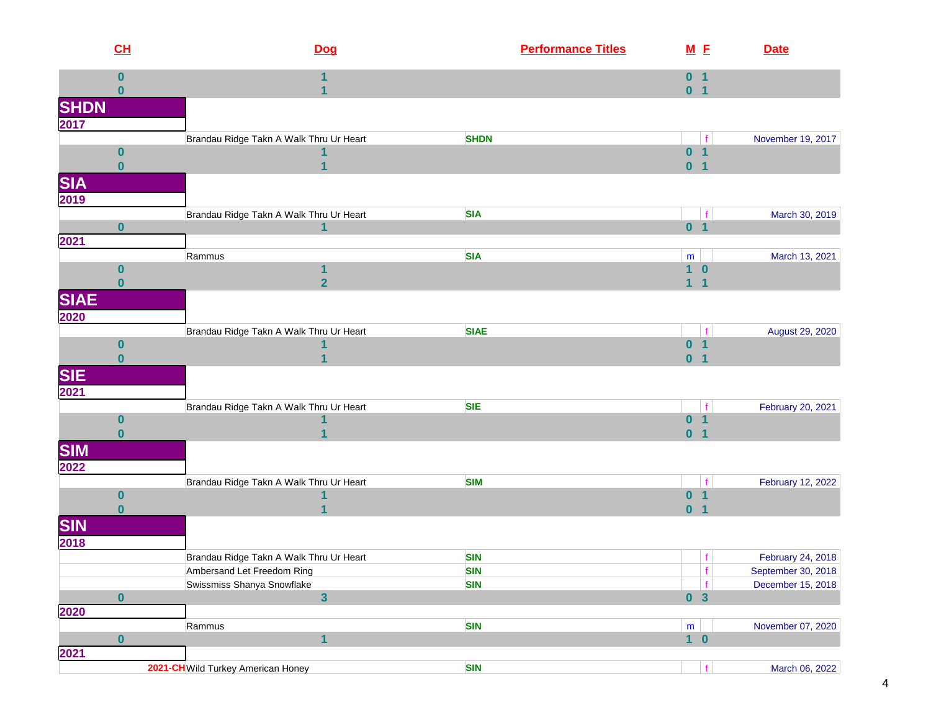|                    | CL                   | Dog                                          | <b>Performance Titles</b> | M E                              |                | <b>Date</b>        |
|--------------------|----------------------|----------------------------------------------|---------------------------|----------------------------------|----------------|--------------------|
|                    | $\bf{0}$<br>$\bf{0}$ | 1                                            |                           | 0 <sub>1</sub><br>0 <sub>1</sub> |                |                    |
| <b>SHDN</b>        |                      |                                              |                           |                                  |                |                    |
| 2017               |                      |                                              |                           |                                  |                |                    |
|                    |                      | Brandau Ridge Takn A Walk Thru Ur Heart      | <b>SHDN</b>               |                                  |                | November 19, 2017  |
|                    | $\bf{0}$             |                                              |                           | 0 <sub>1</sub>                   |                |                    |
|                    | $\bf{0}$             |                                              |                           | 0 <sub>1</sub>                   |                |                    |
| <b>SIA</b><br>2019 |                      |                                              |                           |                                  |                |                    |
|                    |                      | Brandau Ridge Takn A Walk Thru Ur Heart      | <b>SIA</b>                |                                  |                | March 30, 2019     |
|                    | $\bf{0}$             | $\overline{1}$                               |                           | 0 <sub>1</sub>                   |                |                    |
| 2021               |                      |                                              |                           |                                  |                |                    |
|                    |                      | Rammus                                       | <b>SIA</b>                | ${\sf m}$                        |                | March 13, 2021     |
|                    | $\bf{0}$             | 1                                            |                           | $\overline{1}$                   | $\bf{0}$       |                    |
|                    | $\bf{0}$             | $\overline{2}$                               |                           | $\mathbf{1}$                     | $\overline{1}$ |                    |
| <b>SIAE</b>        |                      |                                              |                           |                                  |                |                    |
| 2020               |                      | Brandau Ridge Takn A Walk Thru Ur Heart      | <b>SIAE</b>               |                                  |                | August 29, 2020    |
|                    | $\bf{0}$             |                                              |                           | 0 <sub>1</sub>                   |                |                    |
|                    | $\bf{0}$             |                                              |                           | 0 <sub>1</sub>                   |                |                    |
| <b>SIE</b><br>2021 |                      |                                              |                           |                                  |                |                    |
|                    |                      |                                              |                           |                                  |                |                    |
|                    |                      | Brandau Ridge Takn A Walk Thru Ur Heart      | <b>SIE</b>                |                                  |                | February 20, 2021  |
|                    | $\bf{0}$             |                                              |                           | 0 <sub>1</sub>                   |                |                    |
|                    | $\bf{0}$             |                                              |                           | 0 <sub>1</sub>                   |                |                    |
| <b>SIM</b><br>2022 |                      |                                              |                           |                                  |                |                    |
|                    |                      | Brandau Ridge Takn A Walk Thru Ur Heart      | <b>SIM</b>                |                                  |                | February 12, 2022  |
|                    | $\bf{0}$             |                                              |                           | $\mathbf{0}$                     | $\overline{1}$ |                    |
|                    | $\mathbf{0}$         |                                              |                           | 0 <sub>1</sub>                   |                |                    |
| <b>SIN</b>         |                      |                                              |                           |                                  |                |                    |
| 2018               |                      |                                              |                           |                                  |                |                    |
|                    |                      | Brandau Ridge Takn A Walk Thru Ur Heart      | <b>SIN</b>                |                                  | f              | February 24, 2018  |
|                    |                      | Ambersand Let Freedom Ring                   | <b>SIN</b>                |                                  | f.             | September 30, 2018 |
|                    | $\bf{0}$             | Swissmiss Shanya Snowflake<br>$\overline{3}$ | <b>SIN</b>                | 0 <sup>3</sup>                   | $\mathbf{f}$   | December 15, 2018  |
| 2020               |                      |                                              |                           |                                  |                |                    |
|                    |                      | Rammus                                       | <b>SIN</b>                | $\mathsf{m}$                     |                | November 07, 2020  |
|                    | $\bf{0}$             | 1                                            |                           | $1\quad 0$                       |                |                    |
| 2021               |                      |                                              |                           |                                  |                |                    |
|                    |                      | 2021-CH Wild Turkey American Honey           | <b>SIN</b>                |                                  | f              | March 06, 2022     |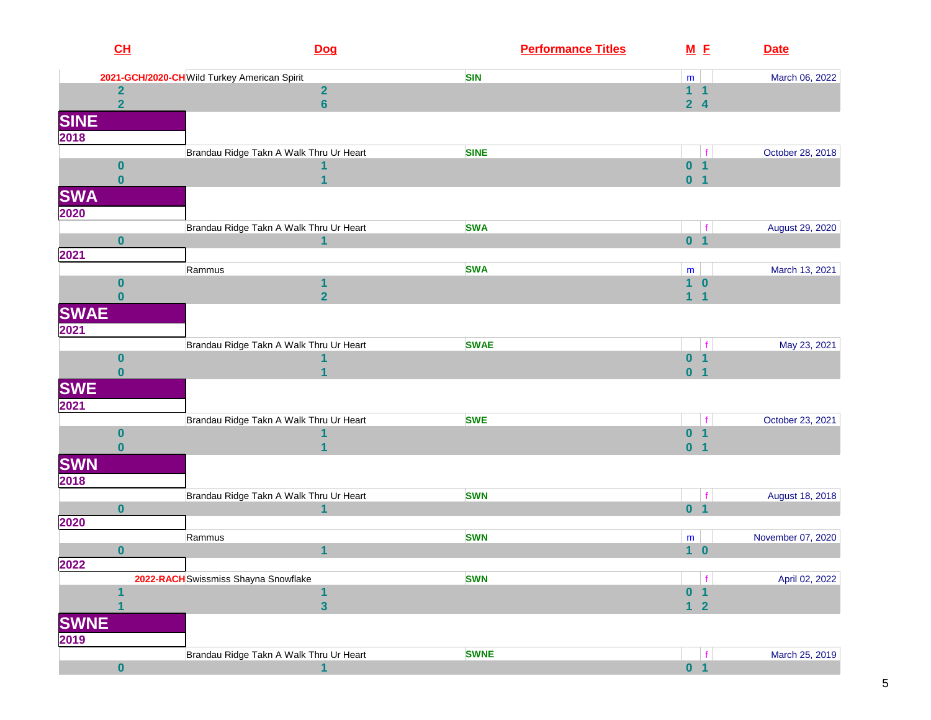| CL                  | Dog                                          | <b>Performance Titles</b> | M E                              |                         | <b>Date</b>       |
|---------------------|----------------------------------------------|---------------------------|----------------------------------|-------------------------|-------------------|
|                     | 2021-GCH/2020-CH Wild Turkey American Spirit | <b>SIN</b>                | ${\sf m}$                        |                         | March 06, 2022    |
| $\mathbf{2}$        | $\overline{2}$                               |                           | 1 <sub>1</sub>                   |                         |                   |
| $\overline{2}$      | $6\phantom{a}$                               |                           | 2 <sub>4</sub>                   |                         |                   |
|                     |                                              |                           |                                  |                         |                   |
| <b>SINE</b><br>2018 |                                              |                           |                                  |                         |                   |
|                     |                                              |                           |                                  |                         |                   |
|                     | Brandau Ridge Takn A Walk Thru Ur Heart      | <b>SINE</b>               |                                  |                         | October 28, 2018  |
| $\boldsymbol{0}$    |                                              |                           | 0 <sub>1</sub><br>0 <sub>1</sub> |                         |                   |
| $\bf{0}$            |                                              |                           |                                  |                         |                   |
| <b>SWA</b>          |                                              |                           |                                  |                         |                   |
| 2020                |                                              |                           |                                  |                         |                   |
|                     | Brandau Ridge Takn A Walk Thru Ur Heart      | <b>SWA</b>                |                                  |                         | August 29, 2020   |
| $\bf{0}$            | $\mathbf{1}$                                 |                           | 0 <sub>1</sub>                   |                         |                   |
| 2021                |                                              |                           |                                  |                         |                   |
|                     | Rammus                                       | <b>SWA</b>                | m                                |                         | March 13, 2021    |
| $\bf{0}$            | 1                                            |                           | $\overline{\mathbf{1}}$          | $\bf{0}$                |                   |
| $\bf{0}$            | $\overline{2}$                               |                           | $\mathbf{1}$                     | $\mathbf 1$             |                   |
| <b>SWAE</b>         |                                              |                           |                                  |                         |                   |
| 2021                |                                              |                           |                                  |                         |                   |
|                     | Brandau Ridge Takn A Walk Thru Ur Heart      | <b>SWAE</b>               |                                  | f                       | May 23, 2021      |
| $\bf{0}$            |                                              |                           | $\bf{0}$                         | $\overline{\mathbf{1}}$ |                   |
| $\bf{0}$            |                                              |                           | $\bf{0}$                         | $\overline{\mathbf{1}}$ |                   |
|                     |                                              |                           |                                  |                         |                   |
| <b>SWE</b><br>2021  |                                              |                           |                                  |                         |                   |
|                     |                                              |                           |                                  |                         |                   |
|                     | Brandau Ridge Takn A Walk Thru Ur Heart      | <b>SWE</b>                |                                  | $\mathbf f$             | October 23, 2021  |
| $\boldsymbol{0}$    |                                              |                           | 0 <sub>1</sub>                   |                         |                   |
| $\bf{0}$            |                                              |                           | 0 <sub>1</sub>                   |                         |                   |
| <b>SWN</b>          |                                              |                           |                                  |                         |                   |
| 2018                |                                              |                           |                                  |                         |                   |
|                     | Brandau Ridge Takn A Walk Thru Ur Heart      | <b>SWN</b>                |                                  |                         | August 18, 2018   |
| $\bf{0}$            | 1                                            |                           | 0 <sub>1</sub>                   |                         |                   |
| 2020                |                                              |                           |                                  |                         |                   |
|                     | Rammus                                       | <b>SWN</b>                | m                                |                         | November 07, 2020 |
| $\bf{0}$            | 1                                            |                           | 1 <sub>0</sub>                   |                         |                   |
| 2022                |                                              |                           |                                  |                         |                   |
|                     | 2022-RACH Swissmiss Shayna Snowflake         | <b>SWN</b>                |                                  | f                       | April 02, 2022    |
|                     | 1                                            |                           | $\bf{0}$                         | 1                       |                   |
|                     | $\overline{\mathbf{3}}$                      |                           | $\left  \cdot \right $           | $\overline{\mathbf{2}}$ |                   |
| <b>SWNE</b>         |                                              |                           |                                  |                         |                   |
| 2019                |                                              |                           |                                  |                         |                   |
|                     | Brandau Ridge Takn A Walk Thru Ur Heart      | <b>SWNE</b>               |                                  | $\mathbf f$             | March 25, 2019    |
| $\pmb{0}$           | 1                                            |                           | 0 <sub>1</sub>                   |                         |                   |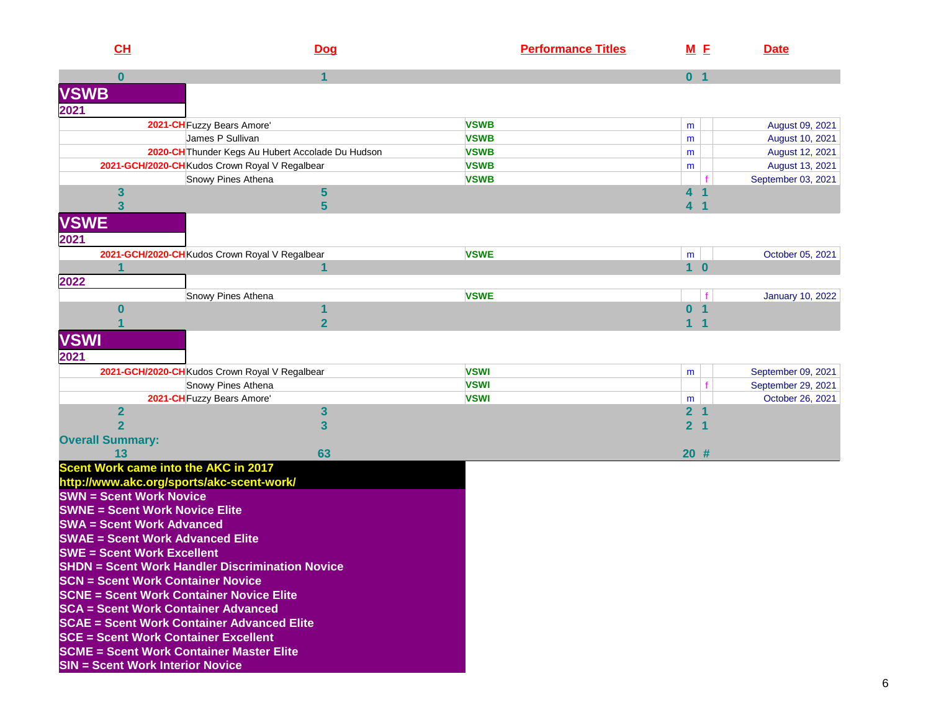| CL                                                     | Dog                                               | <b>Performance Titles</b> |                     | M E            | <b>Date</b>             |
|--------------------------------------------------------|---------------------------------------------------|---------------------------|---------------------|----------------|-------------------------|
| $\bf{0}$                                               | 1                                                 |                           | 0 <sub>1</sub>      |                |                         |
| <b>VSWB</b>                                            |                                                   |                           |                     |                |                         |
| 2021                                                   |                                                   |                           |                     |                |                         |
| 2021-CH Fuzzy Bears Amore'                             |                                                   | <b>VSWB</b>               | m                   |                | August 09, 2021         |
| James P Sullivan                                       |                                                   | <b>VSWB</b>               | m                   |                | August 10, 2021         |
|                                                        | 2020-CH Thunder Kegs Au Hubert Accolade Du Hudson | <b>VSWB</b>               | m                   |                | August 12, 2021         |
| 2021-GCH/2020-CH Kudos Crown Royal V Regalbear         |                                                   | <b>VSWB</b>               | m                   |                | August 13, 2021         |
|                                                        | Snowy Pines Athena                                | <b>VSWB</b>               |                     |                | September 03, 2021      |
| 3                                                      | 5                                                 |                           | 4                   |                |                         |
| $\overline{\mathbf{3}}$                                | 5                                                 |                           | 4                   |                |                         |
| <b>VSWE</b>                                            |                                                   |                           |                     |                |                         |
| 2021                                                   |                                                   |                           |                     |                |                         |
| 2021-GCH/2020-CH Kudos Crown Royal V Regalbear         |                                                   | <b>VSWE</b>               | m                   |                | October 05, 2021        |
|                                                        | 1                                                 |                           | 1 <sub>0</sub>      |                |                         |
| 2022                                                   |                                                   |                           |                     |                |                         |
|                                                        | Snowy Pines Athena                                | <b>VSWE</b>               |                     | f              | <b>January 10, 2022</b> |
| 0                                                      |                                                   |                           | $\bf{0}$            | -1             |                         |
|                                                        | $\overline{2}$                                    |                           | $\blacklozenge$     | -1             |                         |
| <b>VSWI</b>                                            |                                                   |                           |                     |                |                         |
|                                                        |                                                   |                           |                     |                |                         |
| 2021                                                   |                                                   |                           |                     |                |                         |
| 2021-GCH/2020-CH Kudos Crown Royal V Regalbear         |                                                   | <b>VSWI</b>               | m                   |                | September 09, 2021      |
|                                                        | Snowy Pines Athena                                | <b>VSWI</b>               |                     |                | September 29, 2021      |
| 2021-CH Fuzzy Bears Amore'<br>$\overline{2}$           | 3                                                 | <b>VSWI</b>               | m<br>2 <sub>1</sub> |                | October 26, 2021        |
| $\overline{2}$                                         | 3                                                 |                           | $\overline{2}$      | $\blacksquare$ |                         |
| <b>Overall Summary:</b>                                |                                                   |                           |                     |                |                         |
| 13                                                     | 63                                                |                           | $20$ #              |                |                         |
| Scent Work came into the AKC in 2017                   |                                                   |                           |                     |                |                         |
| http://www.akc.org/sports/akc-scent-work/              |                                                   |                           |                     |                |                         |
| <b>SWN = Scent Work Novice</b>                         |                                                   |                           |                     |                |                         |
| <b>SWNE = Scent Work Novice Elite</b>                  |                                                   |                           |                     |                |                         |
| <b>SWA = Scent Work Advanced</b>                       |                                                   |                           |                     |                |                         |
| <b>SWAE = Scent Work Advanced Elite</b>                |                                                   |                           |                     |                |                         |
| <b>SWE = Scent Work Excellent</b>                      |                                                   |                           |                     |                |                         |
| <b>SHDN = Scent Work Handler Discrimination Novice</b> |                                                   |                           |                     |                |                         |
| <b>SCN = Scent Work Container Novice</b>               |                                                   |                           |                     |                |                         |
| <b>SCNE = Scent Work Container Novice Elite</b>        |                                                   |                           |                     |                |                         |
| <b>SCA = Scent Work Container Advanced</b>             |                                                   |                           |                     |                |                         |
| <b>SCAE = Scent Work Container Advanced Elite</b>      |                                                   |                           |                     |                |                         |
| <b>SCE = Scent Work Container Excellent</b>            |                                                   |                           |                     |                |                         |
| <b>SCME = Scent Work Container Master Elite</b>        |                                                   |                           |                     |                |                         |
| <b>SIN = Scent Work Interior Novice</b>                |                                                   |                           |                     |                |                         |